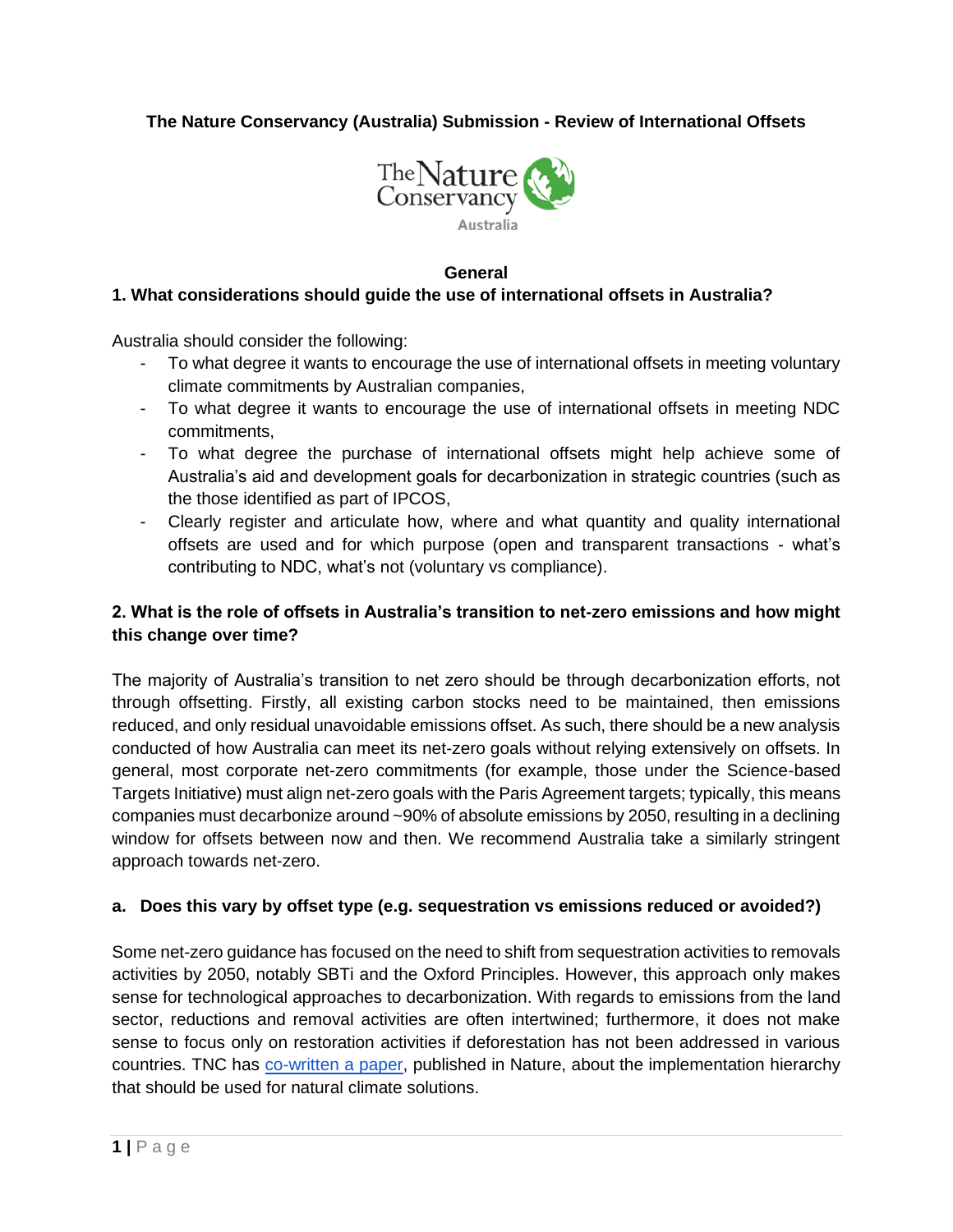**The Nature Conservancy (Australia) Submission - Review of International Offsets**



### **General**

#### **1. What considerations should guide the use of international offsets in Australia?**

Australia should consider the following:

- To what degree it wants to encourage the use of international offsets in meeting voluntary climate commitments by Australian companies,
- To what degree it wants to encourage the use of international offsets in meeting NDC commitments,
- To what degree the purchase of international offsets might help achieve some of Australia's aid and development goals for decarbonization in strategic countries (such as the those identified as part of IPCOS,
- Clearly register and articulate how, where and what quantity and quality international offsets are used and for which purpose (open and transparent transactions - what's contributing to NDC, what's not (voluntary vs compliance).

### **2. What is the role of offsets in Australia's transition to net-zero emissions and how might this change over time?**

The majority of Australia's transition to net zero should be through decarbonization efforts, not through offsetting. Firstly, all existing carbon stocks need to be maintained, then emissions reduced, and only residual unavoidable emissions offset. As such, there should be a new analysis conducted of how Australia can meet its net-zero goals without relying extensively on offsets. In general, most corporate net-zero commitments (for example, those under the Science-based Targets Initiative) must align net-zero goals with the Paris Agreement targets; typically, this means companies must decarbonize around ~90% of absolute emissions by 2050, resulting in a declining window for offsets between now and then. We recommend Australia take a similarly stringent approach towards net-zero.

### **a. Does this vary by offset type (e.g. sequestration vs emissions reduced or avoided?)**

Some net-zero guidance has focused on the need to shift from sequestration activities to removals activities by 2050, notably SBTi and the Oxford Principles. However, this approach only makes sense for technological approaches to decarbonization. With regards to emissions from the land sector, reductions and removal activities are often intertwined; furthermore, it does not make sense to focus only on restoration activities if deforestation has not been addressed in various countries. TNC has [co-written a paper,](https://www.nature.com/articles/s41558-021-01198-0%E2%80%8B%E2%80%8B) published in Nature, about the implementation hierarchy that should be used for natural climate solutions.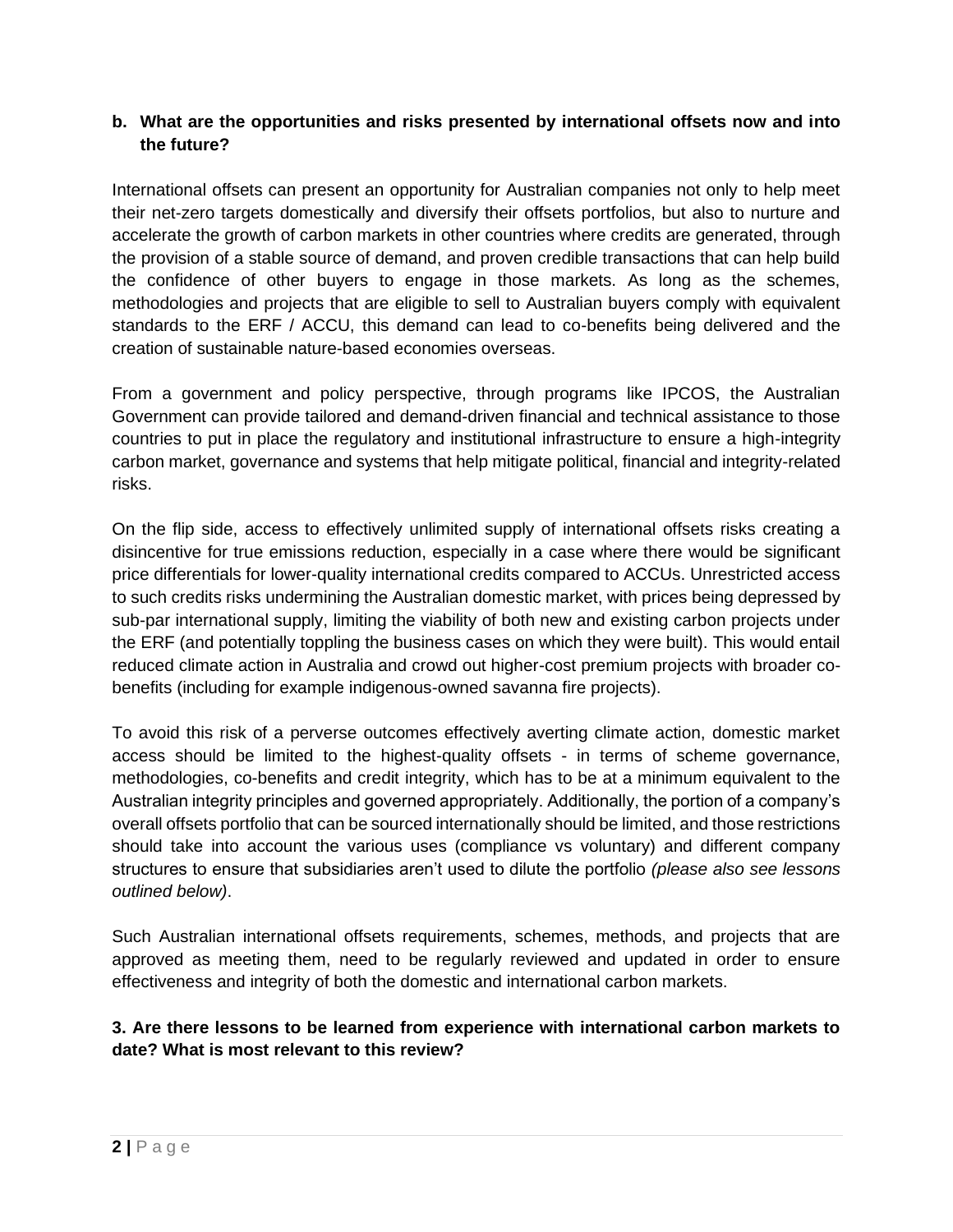### **b. What are the opportunities and risks presented by international offsets now and into the future?**

International offsets can present an opportunity for Australian companies not only to help meet their net-zero targets domestically and diversify their offsets portfolios, but also to nurture and accelerate the growth of carbon markets in other countries where credits are generated, through the provision of a stable source of demand, and proven credible transactions that can help build the confidence of other buyers to engage in those markets. As long as the schemes, methodologies and projects that are eligible to sell to Australian buyers comply with equivalent standards to the ERF / ACCU, this demand can lead to co-benefits being delivered and the creation of sustainable nature-based economies overseas.

From a government and policy perspective, through programs like IPCOS, the Australian Government can provide tailored and demand-driven financial and technical assistance to those countries to put in place the regulatory and institutional infrastructure to ensure a high-integrity carbon market, governance and systems that help mitigate political, financial and integrity-related risks.

On the flip side, access to effectively unlimited supply of international offsets risks creating a disincentive for true emissions reduction, especially in a case where there would be significant price differentials for lower-quality international credits compared to ACCUs. Unrestricted access to such credits risks undermining the Australian domestic market, with prices being depressed by sub-par international supply, limiting the viability of both new and existing carbon projects under the ERF (and potentially toppling the business cases on which they were built). This would entail reduced climate action in Australia and crowd out higher-cost premium projects with broader cobenefits (including for example indigenous-owned savanna fire projects).

To avoid this risk of a perverse outcomes effectively averting climate action, domestic market access should be limited to the highest-quality offsets - in terms of scheme governance, methodologies, co-benefits and credit integrity, which has to be at a minimum equivalent to the Australian integrity principles and governed appropriately. Additionally, the portion of a company's overall offsets portfolio that can be sourced internationally should be limited, and those restrictions should take into account the various uses (compliance vs voluntary) and different company structures to ensure that subsidiaries aren't used to dilute the portfolio *(please also see lessons outlined below)*.

Such Australian international offsets requirements, schemes, methods, and projects that are approved as meeting them, need to be regularly reviewed and updated in order to ensure effectiveness and integrity of both the domestic and international carbon markets.

### **3. Are there lessons to be learned from experience with international carbon markets to date? What is most relevant to this review?**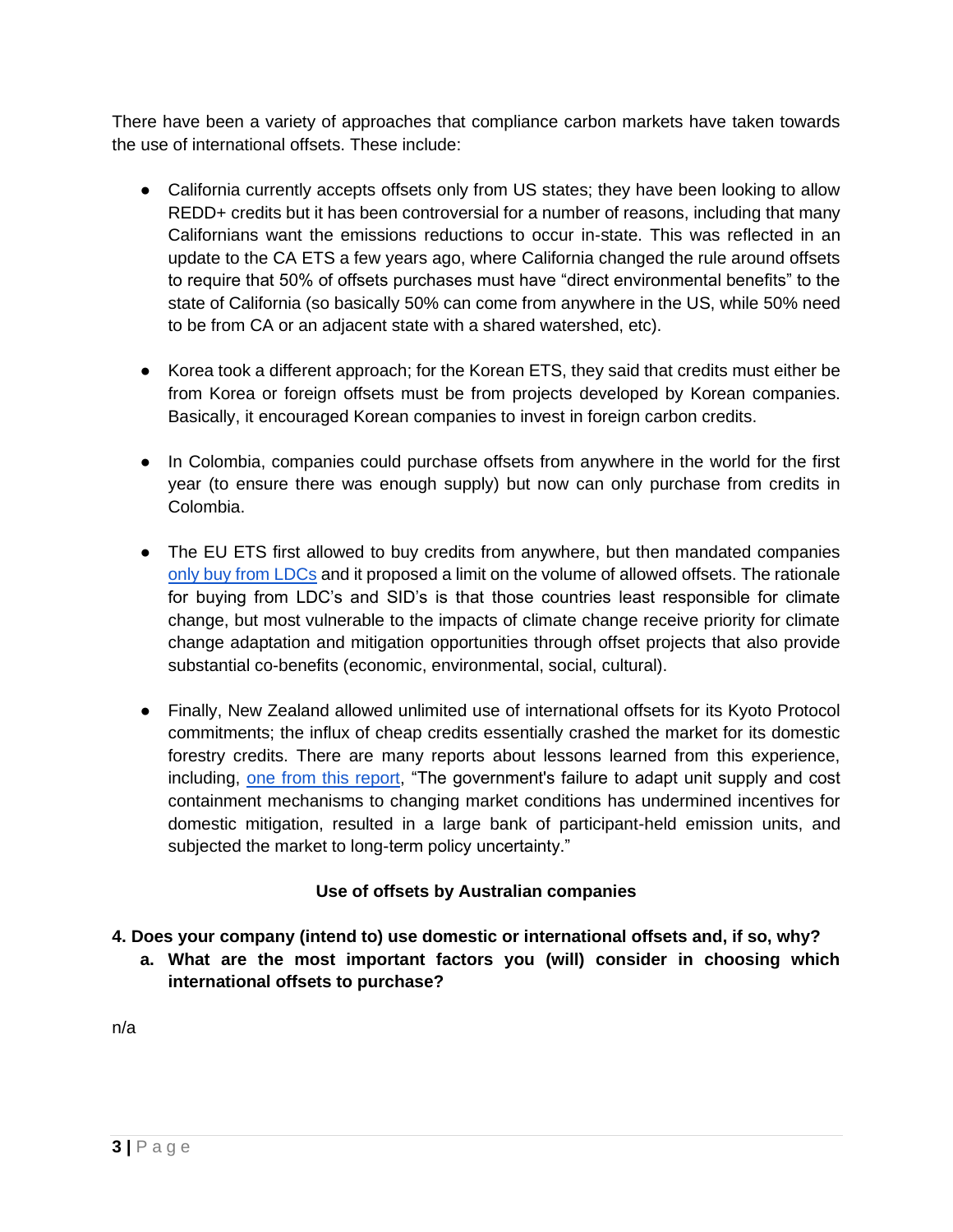There have been a variety of approaches that compliance carbon markets have taken towards the use of international offsets. These include:

- California currently accepts offsets only from US states; they have been looking to allow REDD+ credits but it has been controversial for a number of reasons, including that many Californians want the emissions reductions to occur in-state. This was reflected in an update to the CA ETS a few years ago, where California changed the rule around offsets to require that 50% of offsets purchases must have "direct environmental benefits" to the state of California (so basically 50% can come from anywhere in the US, while 50% need to be from CA or an adjacent state with a shared watershed, etc).
- Korea took a different approach; for the Korean ETS, they said that credits must either be from Korea or foreign offsets must be from projects developed by Korean companies. Basically, it encouraged Korean companies to invest in foreign carbon credits.
- In Colombia, companies could purchase offsets from anywhere in the world for the first year (to ensure there was enough supply) but now can only purchase from credits in Colombia.
- The EU ETS first allowed to buy credits from anywhere, but then mandated companies [only buy from LDCs](https://ec.europa.eu/clima/eu-action/eu-emissions-trading-system-eu-ets/use-international-credits_en) and it proposed a limit on the volume of allowed offsets. The rationale for buying from LDC's and SID's is that those countries least responsible for climate change, but most vulnerable to the impacts of climate change receive priority for climate change adaptation and mitigation opportunities through offset projects that also provide substantial co-benefits (economic, environmental, social, cultural).
- Finally, New Zealand allowed unlimited use of international offsets for its Kyoto Protocol commitments; the influx of cheap credits essentially crashed the market for its domestic forestry credits. There are many reports about lessons learned from this experience, including, [one from this report,](https://www.tandfonline.com/doi/abs/10.1080/14693062.2019.1699773) "The government's failure to adapt unit supply and cost containment mechanisms to changing market conditions has undermined incentives for domestic mitigation, resulted in a large bank of participant-held emission units, and subjected the market to long-term policy uncertainty."

# **Use of offsets by Australian companies**

- **4. Does your company (intend to) use domestic or international offsets and, if so, why?** 
	- **a. What are the most important factors you (will) consider in choosing which international offsets to purchase?**

n/a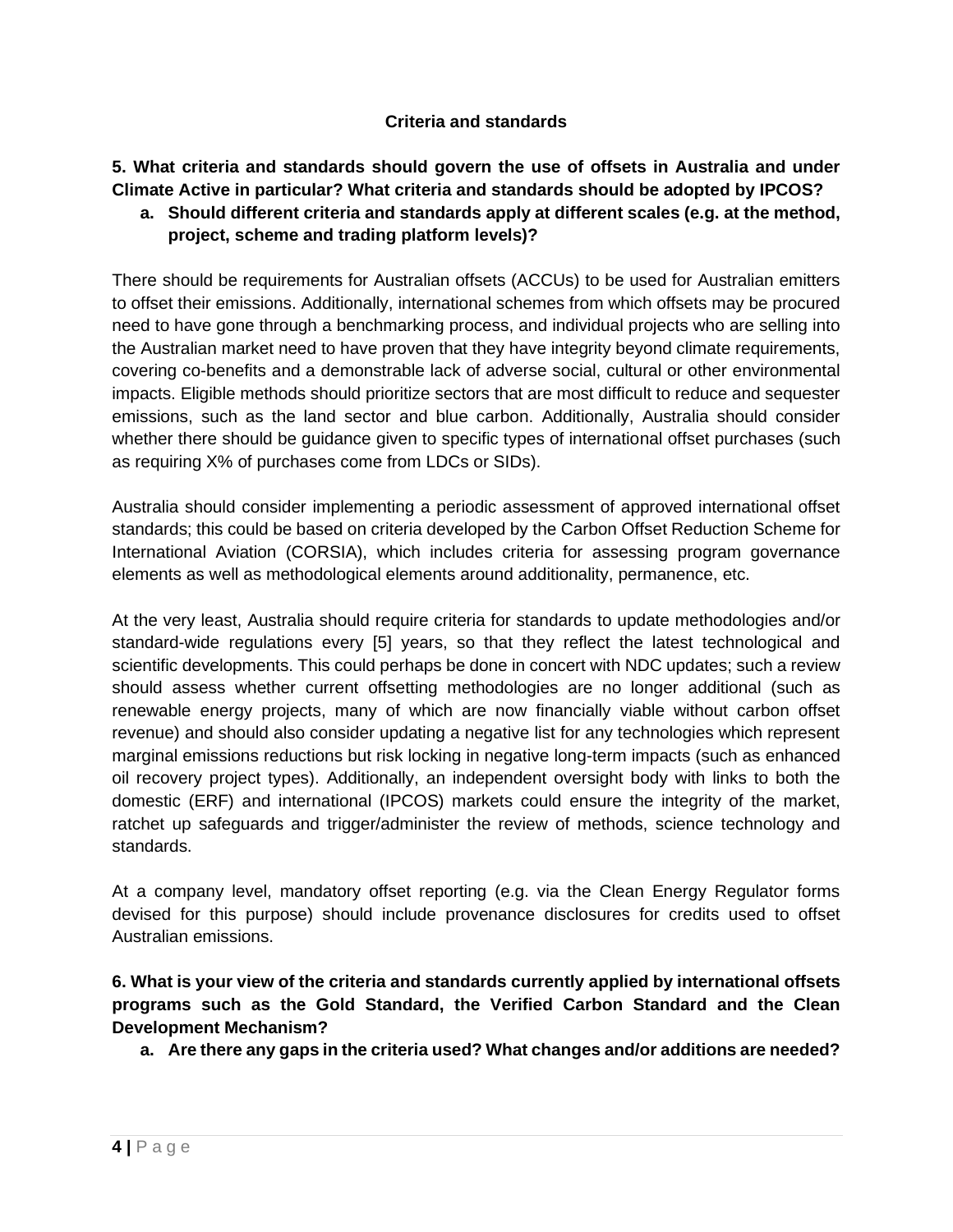#### **Criteria and standards**

**5. What criteria and standards should govern the use of offsets in Australia and under Climate Active in particular? What criteria and standards should be adopted by IPCOS?** 

### **a. Should different criteria and standards apply at different scales (e.g. at the method, project, scheme and trading platform levels)?**

There should be requirements for Australian offsets (ACCUs) to be used for Australian emitters to offset their emissions. Additionally, international schemes from which offsets may be procured need to have gone through a benchmarking process, and individual projects who are selling into the Australian market need to have proven that they have integrity beyond climate requirements, covering co-benefits and a demonstrable lack of adverse social, cultural or other environmental impacts. Eligible methods should prioritize sectors that are most difficult to reduce and sequester emissions, such as the land sector and blue carbon. Additionally, Australia should consider whether there should be guidance given to specific types of international offset purchases (such as requiring X% of purchases come from LDCs or SIDs).

Australia should consider implementing a periodic assessment of approved international offset standards; this could be based on criteria developed by the Carbon Offset Reduction Scheme for International Aviation (CORSIA), which includes criteria for assessing program governance elements as well as methodological elements around additionality, permanence, etc.

At the very least, Australia should require criteria for standards to update methodologies and/or standard-wide regulations every [5] years, so that they reflect the latest technological and scientific developments. This could perhaps be done in concert with NDC updates; such a review should assess whether current offsetting methodologies are no longer additional (such as renewable energy projects, many of which are now financially viable without carbon offset revenue) and should also consider updating a negative list for any technologies which represent marginal emissions reductions but risk locking in negative long-term impacts (such as enhanced oil recovery project types). Additionally, an independent oversight body with links to both the domestic (ERF) and international (IPCOS) markets could ensure the integrity of the market, ratchet up safeguards and trigger/administer the review of methods, science technology and standards.

At a company level, mandatory offset reporting (e.g. via the Clean Energy Regulator forms devised for this purpose) should include provenance disclosures for credits used to offset Australian emissions.

**6. What is your view of the criteria and standards currently applied by international offsets programs such as the Gold Standard, the Verified Carbon Standard and the Clean Development Mechanism?**

**a. Are there any gaps in the criteria used? What changes and/or additions are needed?**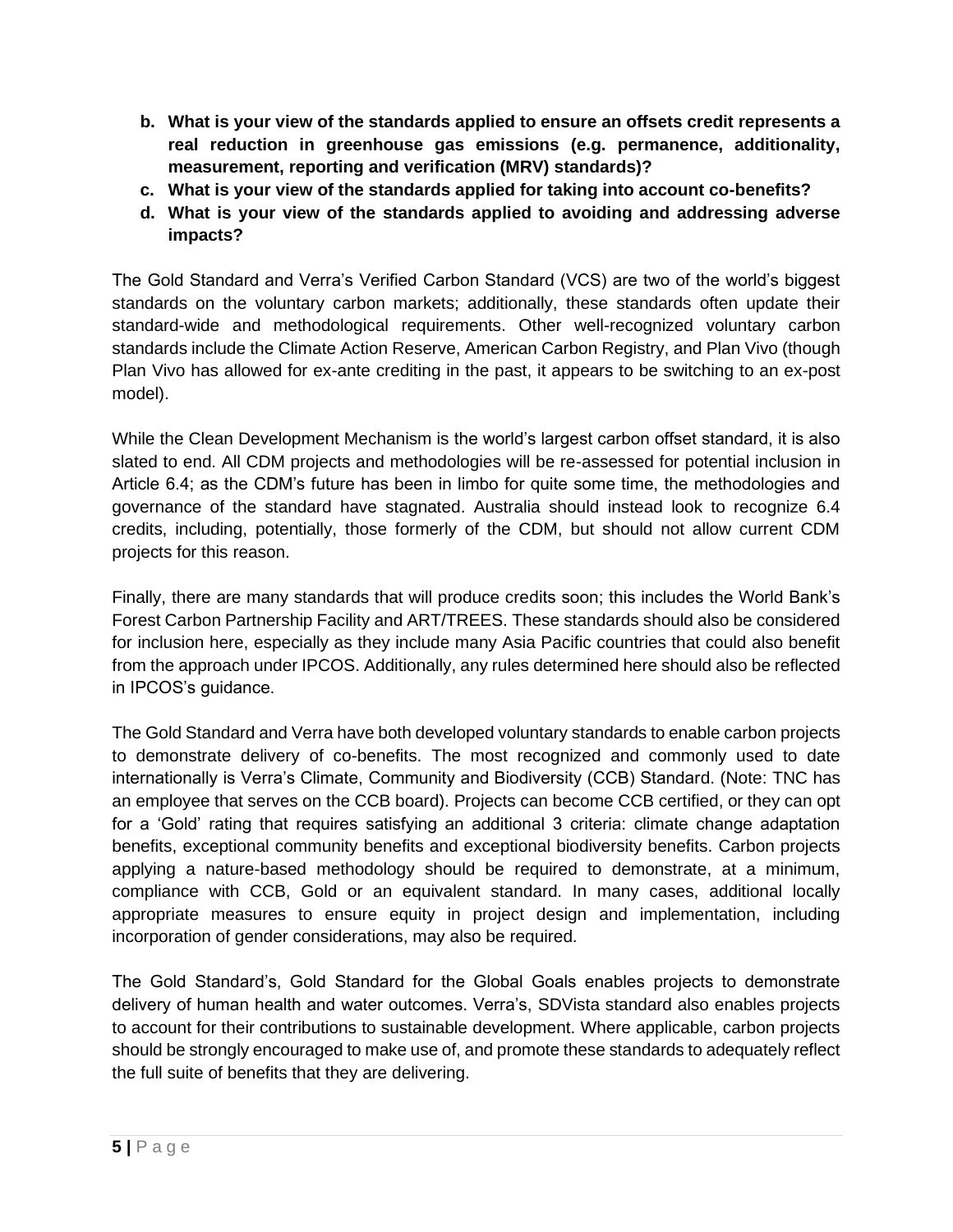- **b. What is your view of the standards applied to ensure an offsets credit represents a real reduction in greenhouse gas emissions (e.g. permanence, additionality, measurement, reporting and verification (MRV) standards)?**
- **c. What is your view of the standards applied for taking into account co-benefits?**
- **d. What is your view of the standards applied to avoiding and addressing adverse impacts?**

The Gold Standard and Verra's Verified Carbon Standard (VCS) are two of the world's biggest standards on the voluntary carbon markets; additionally, these standards often update their standard-wide and methodological requirements. Other well-recognized voluntary carbon standards include the Climate Action Reserve, American Carbon Registry, and Plan Vivo (though Plan Vivo has allowed for ex-ante crediting in the past, it appears to be switching to an ex-post model).

While the Clean Development Mechanism is the world's largest carbon offset standard, it is also slated to end. All CDM projects and methodologies will be re-assessed for potential inclusion in Article 6.4; as the CDM's future has been in limbo for quite some time, the methodologies and governance of the standard have stagnated. Australia should instead look to recognize 6.4 credits, including, potentially, those formerly of the CDM, but should not allow current CDM projects for this reason.

Finally, there are many standards that will produce credits soon; this includes the World Bank's Forest Carbon Partnership Facility and ART/TREES. These standards should also be considered for inclusion here, especially as they include many Asia Pacific countries that could also benefit from the approach under IPCOS. Additionally, any rules determined here should also be reflected in IPCOS's guidance.

The Gold Standard and Verra have both developed voluntary standards to enable carbon projects to demonstrate delivery of co-benefits. The most recognized and commonly used to date internationally is Verra's Climate, Community and Biodiversity (CCB) Standard. (Note: TNC has an employee that serves on the CCB board). Projects can become CCB certified, or they can opt for a 'Gold' rating that requires satisfying an additional 3 criteria: climate change adaptation benefits, exceptional community benefits and exceptional biodiversity benefits. Carbon projects applying a nature-based methodology should be required to demonstrate, at a minimum, compliance with CCB, Gold or an equivalent standard. In many cases, additional locally appropriate measures to ensure equity in project design and implementation, including incorporation of gender considerations, may also be required.

The Gold Standard's, Gold Standard for the Global Goals enables projects to demonstrate delivery of human health and water outcomes. Verra's, SDVista standard also enables projects to account for their contributions to sustainable development. Where applicable, carbon projects should be strongly encouraged to make use of, and promote these standards to adequately reflect the full suite of benefits that they are delivering.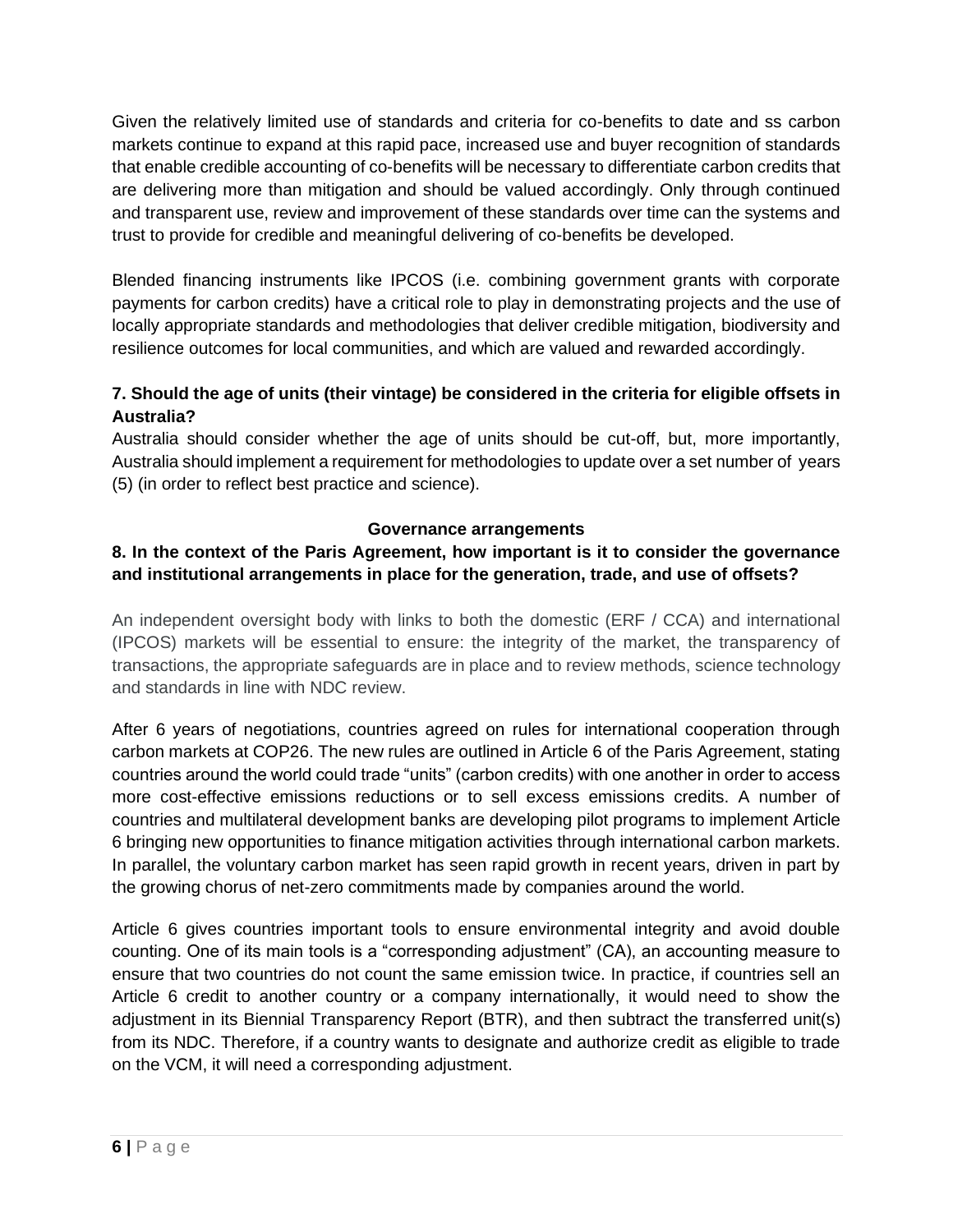Given the relatively limited use of standards and criteria for co-benefits to date and ss carbon markets continue to expand at this rapid pace, increased use and buyer recognition of standards that enable credible accounting of co-benefits will be necessary to differentiate carbon credits that are delivering more than mitigation and should be valued accordingly. Only through continued and transparent use, review and improvement of these standards over time can the systems and trust to provide for credible and meaningful delivering of co-benefits be developed.

Blended financing instruments like IPCOS (i.e. combining government grants with corporate payments for carbon credits) have a critical role to play in demonstrating projects and the use of locally appropriate standards and methodologies that deliver credible mitigation, biodiversity and resilience outcomes for local communities, and which are valued and rewarded accordingly.

## **7. Should the age of units (their vintage) be considered in the criteria for eligible offsets in Australia?**

Australia should consider whether the age of units should be cut-off, but, more importantly, Australia should implement a requirement for methodologies to update over a set number of years (5) (in order to reflect best practice and science).

### **Governance arrangements**

# **8. In the context of the Paris Agreement, how important is it to consider the governance and institutional arrangements in place for the generation, trade, and use of offsets?**

An independent oversight body with links to both the domestic (ERF / CCA) and international (IPCOS) markets will be essential to ensure: the integrity of the market, the transparency of transactions, the appropriate safeguards are in place and to review methods, science technology and standards in line with NDC review.

After 6 years of negotiations, countries agreed on rules for international cooperation through carbon markets at COP26. The new rules are outlined in Article 6 of the Paris Agreement, stating countries around the world could trade "units" (carbon credits) with one another in order to access more cost-effective emissions reductions or to sell excess emissions credits. A number of countries and multilateral development banks are developing pilot programs to implement Article 6 bringing new opportunities to finance mitigation activities through international carbon markets. In parallel, the voluntary carbon market has seen rapid growth in recent years, driven in part by the growing chorus of net-zero commitments made by companies around the world.

Article 6 gives countries important tools to ensure environmental integrity and avoid double counting. One of its main tools is a "corresponding adjustment" (CA), an accounting measure to ensure that two countries do not count the same emission twice. In practice, if countries sell an Article 6 credit to another country or a company internationally, it would need to show the adjustment in its Biennial Transparency Report (BTR), and then subtract the transferred unit(s) from its NDC. Therefore, if a country wants to designate and authorize credit as eligible to trade on the VCM, it will need a corresponding adjustment.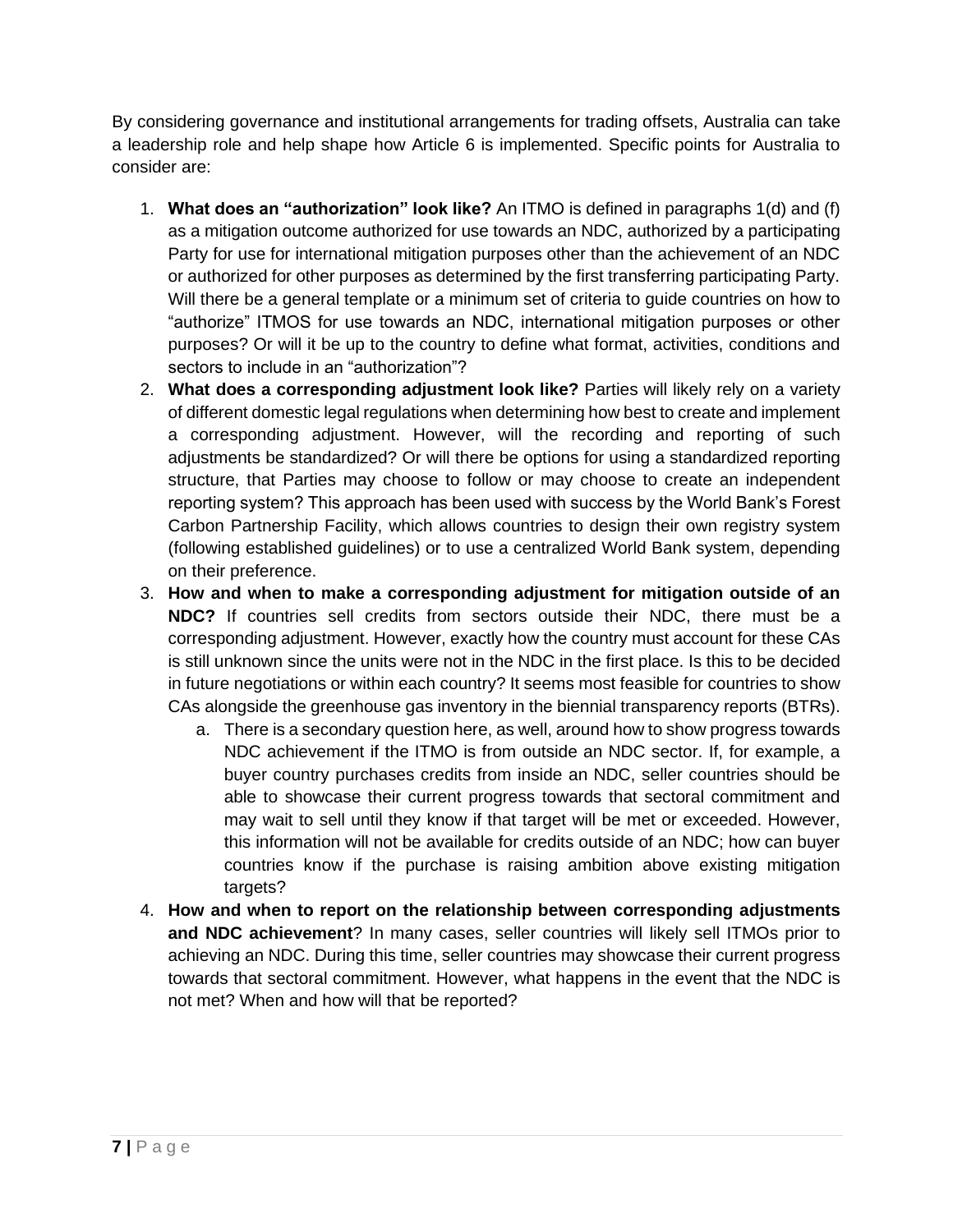By considering governance and institutional arrangements for trading offsets, Australia can take a leadership role and help shape how Article 6 is implemented. Specific points for Australia to consider are:

- 1. **What does an "authorization" look like?** An ITMO is defined in paragraphs 1(d) and (f) as a mitigation outcome authorized for use towards an NDC, authorized by a participating Party for use for international mitigation purposes other than the achievement of an NDC or authorized for other purposes as determined by the first transferring participating Party. Will there be a general template or a minimum set of criteria to guide countries on how to "authorize" ITMOS for use towards an NDC, international mitigation purposes or other purposes? Or will it be up to the country to define what format, activities, conditions and sectors to include in an "authorization"?
- 2. **What does a corresponding adjustment look like?** Parties will likely rely on a variety of different domestic legal regulations when determining how best to create and implement a corresponding adjustment. However, will the recording and reporting of such adjustments be standardized? Or will there be options for using a standardized reporting structure, that Parties may choose to follow or may choose to create an independent reporting system? This approach has been used with success by the World Bank's Forest Carbon Partnership Facility, which allows countries to design their own registry system (following established guidelines) or to use a centralized World Bank system, depending on their preference.
- 3. **How and when to make a corresponding adjustment for mitigation outside of an NDC?** If countries sell credits from sectors outside their NDC, there must be a corresponding adjustment. However, exactly how the country must account for these CAs is still unknown since the units were not in the NDC in the first place. Is this to be decided in future negotiations or within each country? It seems most feasible for countries to show CAs alongside the greenhouse gas inventory in the biennial transparency reports (BTRs).
	- a. There is a secondary question here, as well, around how to show progress towards NDC achievement if the ITMO is from outside an NDC sector. If, for example, a buyer country purchases credits from inside an NDC, seller countries should be able to showcase their current progress towards that sectoral commitment and may wait to sell until they know if that target will be met or exceeded. However, this information will not be available for credits outside of an NDC; how can buyer countries know if the purchase is raising ambition above existing mitigation targets?
- 4. **How and when to report on the relationship between corresponding adjustments and NDC achievement**? In many cases, seller countries will likely sell ITMOs prior to achieving an NDC. During this time, seller countries may showcase their current progress towards that sectoral commitment. However, what happens in the event that the NDC is not met? When and how will that be reported?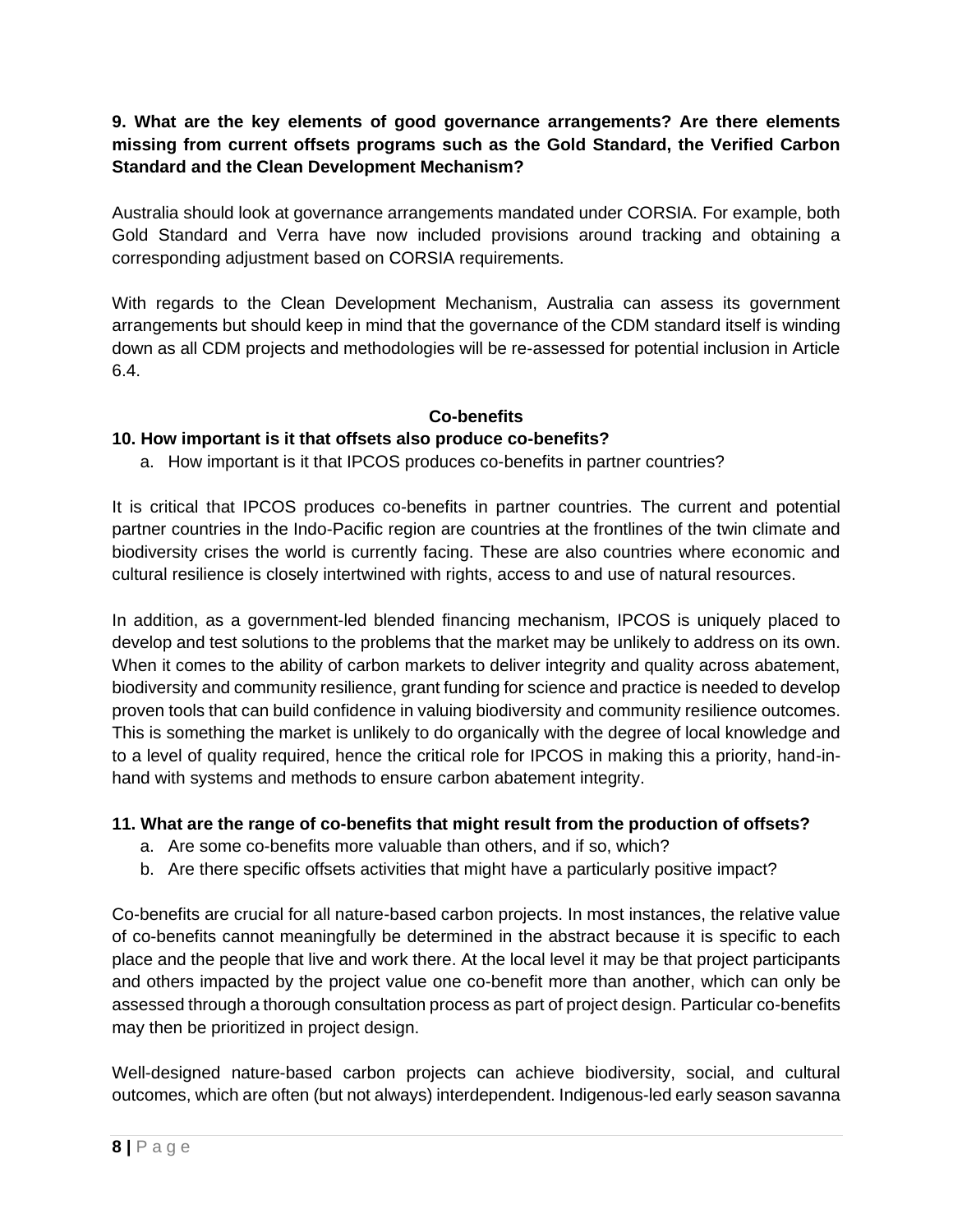### **9. What are the key elements of good governance arrangements? Are there elements missing from current offsets programs such as the Gold Standard, the Verified Carbon Standard and the Clean Development Mechanism?**

Australia should look at governance arrangements mandated under CORSIA. For example, both Gold Standard and Verra have now included provisions around tracking and obtaining a corresponding adjustment based on CORSIA requirements.

With regards to the Clean Development Mechanism, Australia can assess its government arrangements but should keep in mind that the governance of the CDM standard itself is winding down as all CDM projects and methodologies will be re-assessed for potential inclusion in Article 6.4.

### **Co-benefits**

### **10. How important is it that offsets also produce co-benefits?**

a. How important is it that IPCOS produces co-benefits in partner countries?

It is critical that IPCOS produces co-benefits in partner countries. The current and potential partner countries in the Indo-Pacific region are countries at the frontlines of the twin climate and biodiversity crises the world is currently facing. These are also countries where economic and cultural resilience is closely intertwined with rights, access to and use of natural resources.

In addition, as a government-led blended financing mechanism, IPCOS is uniquely placed to develop and test solutions to the problems that the market may be unlikely to address on its own. When it comes to the ability of carbon markets to deliver integrity and quality across abatement, biodiversity and community resilience, grant funding for science and practice is needed to develop proven tools that can build confidence in valuing biodiversity and community resilience outcomes. This is something the market is unlikely to do organically with the degree of local knowledge and to a level of quality required, hence the critical role for IPCOS in making this a priority, hand-inhand with systems and methods to ensure carbon abatement integrity.

### **11. What are the range of co-benefits that might result from the production of offsets?**

- a. Are some co-benefits more valuable than others, and if so, which?
- b. Are there specific offsets activities that might have a particularly positive impact?

Co-benefits are crucial for all nature-based carbon projects. In most instances, the relative value of co-benefits cannot meaningfully be determined in the abstract because it is specific to each place and the people that live and work there. At the local level it may be that project participants and others impacted by the project value one co-benefit more than another, which can only be assessed through a thorough consultation process as part of project design. Particular co-benefits may then be prioritized in project design.

Well-designed nature-based carbon projects can achieve biodiversity, social, and cultural outcomes, which are often (but not always) interdependent. Indigenous-led early season savanna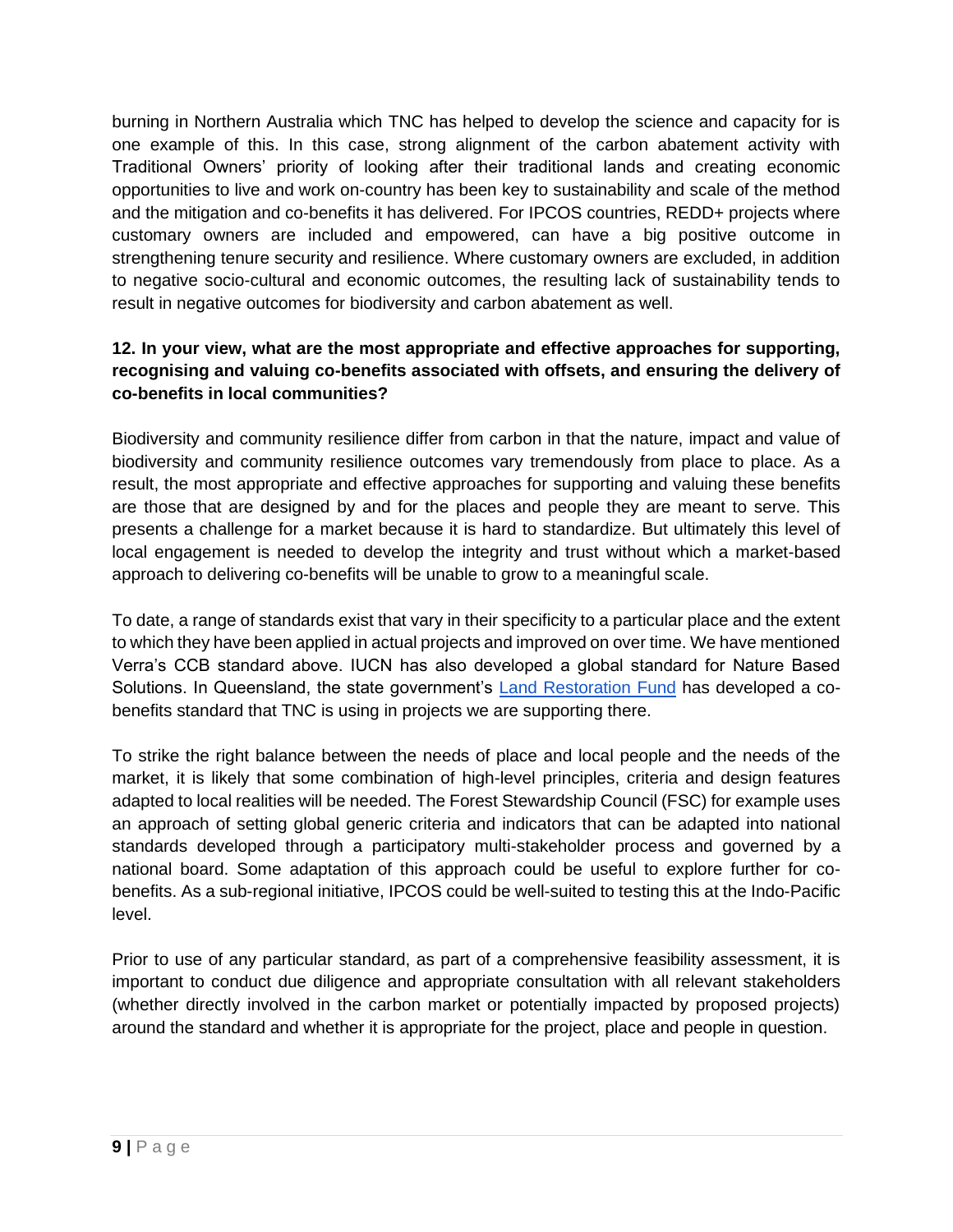burning in Northern Australia which TNC has helped to develop the science and capacity for is one example of this. In this case, strong alignment of the carbon abatement activity with Traditional Owners' priority of looking after their traditional lands and creating economic opportunities to live and work on-country has been key to sustainability and scale of the method and the mitigation and co-benefits it has delivered. For IPCOS countries, REDD+ projects where customary owners are included and empowered, can have a big positive outcome in strengthening tenure security and resilience. Where customary owners are excluded, in addition to negative socio-cultural and economic outcomes, the resulting lack of sustainability tends to result in negative outcomes for biodiversity and carbon abatement as well.

## **12. In your view, what are the most appropriate and effective approaches for supporting, recognising and valuing co-benefits associated with offsets, and ensuring the delivery of co-benefits in local communities?**

Biodiversity and community resilience differ from carbon in that the nature, impact and value of biodiversity and community resilience outcomes vary tremendously from place to place. As a result, the most appropriate and effective approaches for supporting and valuing these benefits are those that are designed by and for the places and people they are meant to serve. This presents a challenge for a market because it is hard to standardize. But ultimately this level of local engagement is needed to develop the integrity and trust without which a market-based approach to delivering co-benefits will be unable to grow to a meaningful scale.

To date, a range of standards exist that vary in their specificity to a particular place and the extent to which they have been applied in actual projects and improved on over time. We have mentioned Verra's CCB standard above. IUCN has also developed a global standard for Nature Based Solutions. In Queensland, the state government's [Land Restoration Fund](https://www.qld.gov.au/environment/climate/climate-change/land-restoration-fund/co-benefits) has developed a cobenefits standard that TNC is using in projects we are supporting there.

To strike the right balance between the needs of place and local people and the needs of the market, it is likely that some combination of high-level principles, criteria and design features adapted to local realities will be needed. The Forest Stewardship Council (FSC) for example uses an approach of setting global generic criteria and indicators that can be adapted into national standards developed through a participatory multi-stakeholder process and governed by a national board. Some adaptation of this approach could be useful to explore further for cobenefits. As a sub-regional initiative, IPCOS could be well-suited to testing this at the Indo-Pacific level.

Prior to use of any particular standard, as part of a comprehensive feasibility assessment, it is important to conduct due diligence and appropriate consultation with all relevant stakeholders (whether directly involved in the carbon market or potentially impacted by proposed projects) around the standard and whether it is appropriate for the project, place and people in question.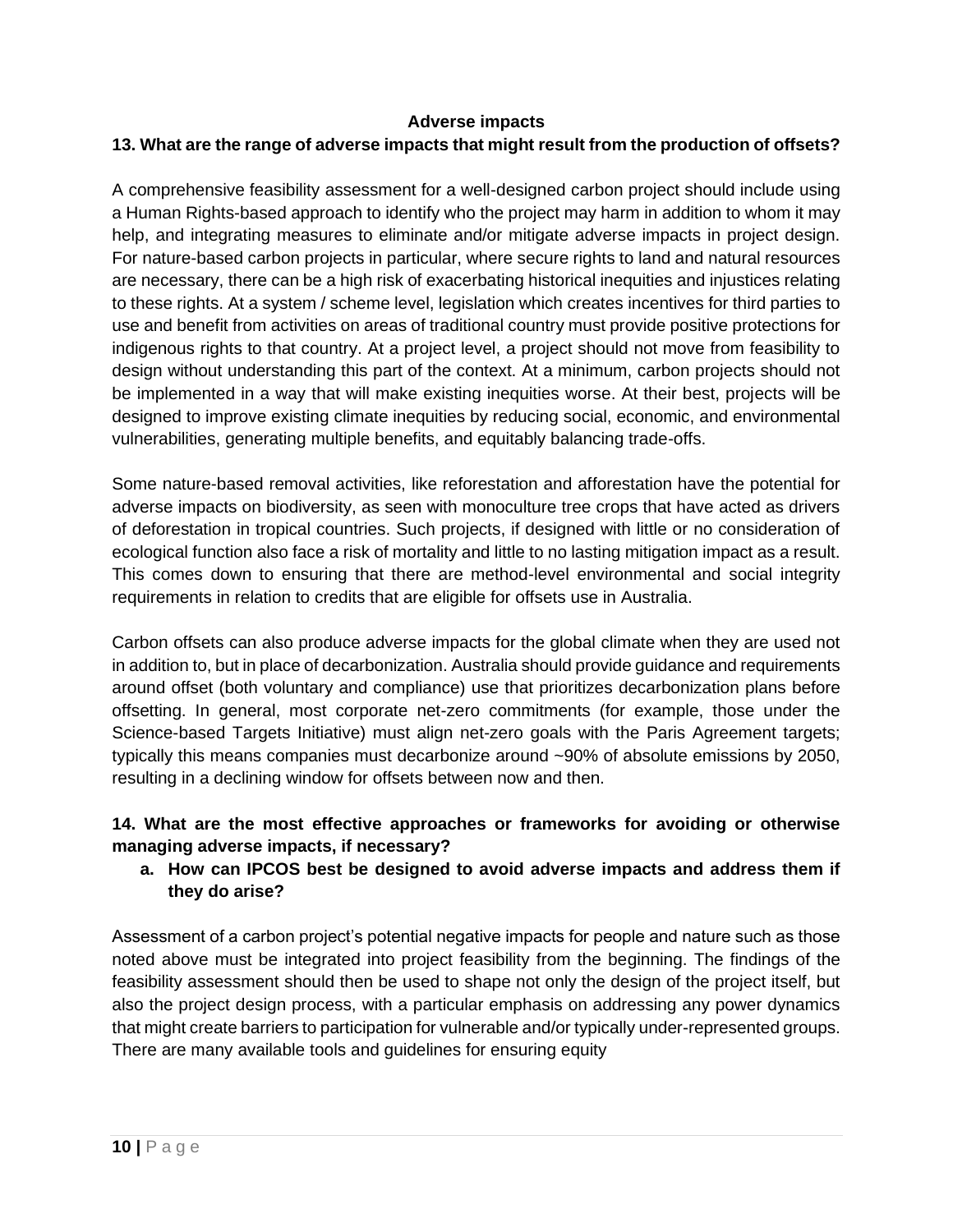#### **Adverse impacts**

## **13. What are the range of adverse impacts that might result from the production of offsets?**

A comprehensive feasibility assessment for a well-designed carbon project should include using a Human Rights-based approach to identify who the project may harm in addition to whom it may help, and integrating measures to eliminate and/or mitigate adverse impacts in project design. For nature-based carbon projects in particular, where secure rights to land and natural resources are necessary, there can be a high risk of exacerbating historical inequities and injustices relating to these rights. At a system / scheme level, legislation which creates incentives for third parties to use and benefit from activities on areas of traditional country must provide positive protections for indigenous rights to that country. At a project level, a project should not move from feasibility to design without understanding this part of the context. At a minimum, carbon projects should not be implemented in a way that will make existing inequities worse. At their best, projects will be designed to improve existing climate inequities by reducing social, economic, and environmental vulnerabilities, generating multiple benefits, and equitably balancing trade-offs.

Some nature-based removal activities, like reforestation and afforestation have the potential for adverse impacts on biodiversity, as seen with monoculture tree crops that have acted as drivers of deforestation in tropical countries. Such projects, if designed with little or no consideration of ecological function also face a risk of mortality and little to no lasting mitigation impact as a result. This comes down to ensuring that there are method-level environmental and social integrity requirements in relation to credits that are eligible for offsets use in Australia.

Carbon offsets can also produce adverse impacts for the global climate when they are used not in addition to, but in place of decarbonization. Australia should provide guidance and requirements around offset (both voluntary and compliance) use that prioritizes decarbonization plans before offsetting. In general, most corporate net-zero commitments (for example, those under the Science-based Targets Initiative) must align net-zero goals with the Paris Agreement targets; typically this means companies must decarbonize around ~90% of absolute emissions by 2050, resulting in a declining window for offsets between now and then.

### **14. What are the most effective approaches or frameworks for avoiding or otherwise managing adverse impacts, if necessary?**

**a. How can IPCOS best be designed to avoid adverse impacts and address them if they do arise?** 

Assessment of a carbon project's potential negative impacts for people and nature such as those noted above must be integrated into project feasibility from the beginning. The findings of the feasibility assessment should then be used to shape not only the design of the project itself, but also the project design process, with a particular emphasis on addressing any power dynamics that might create barriers to participation for vulnerable and/or typically under-represented groups. There are many available tools and guidelines for ensuring equity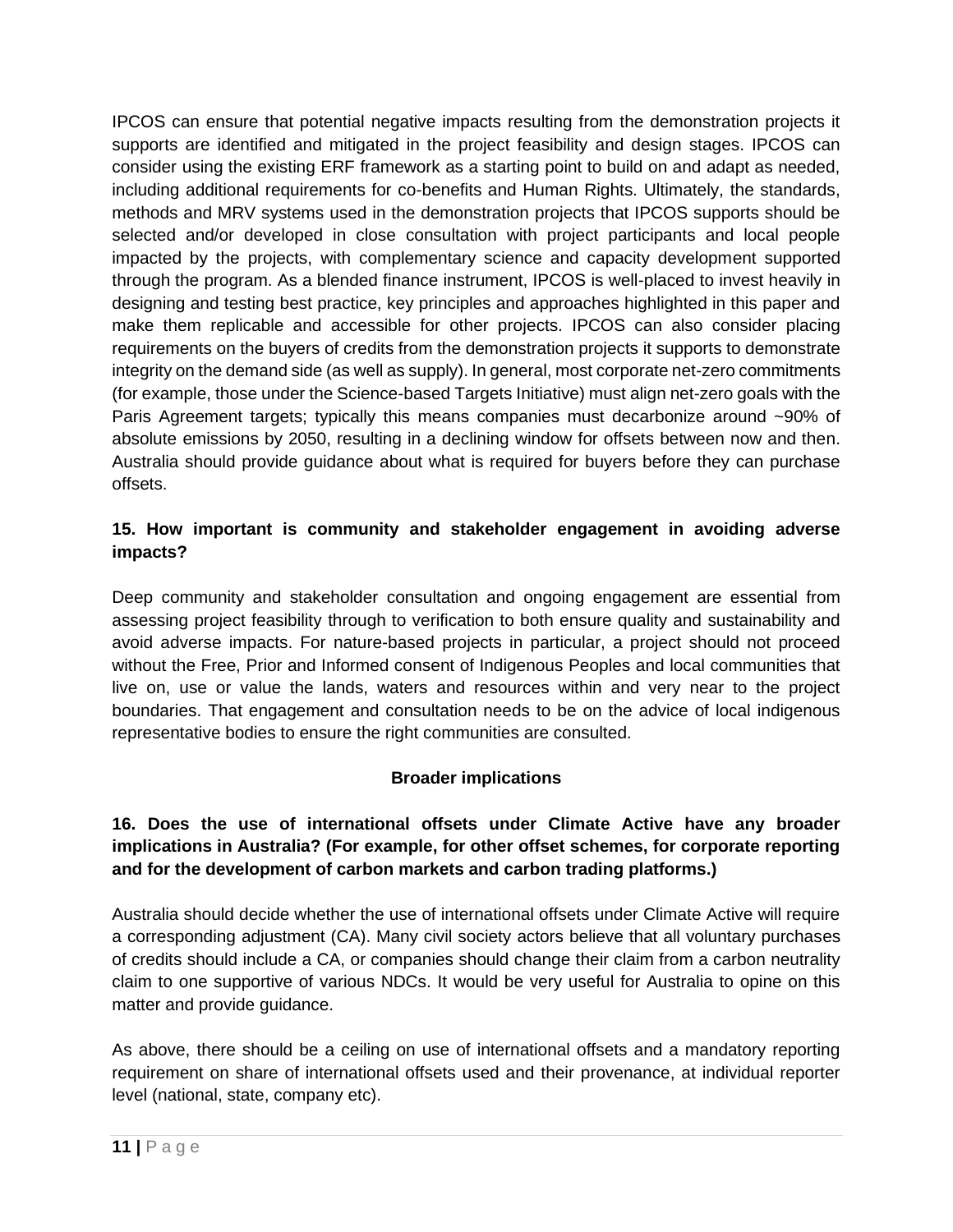IPCOS can ensure that potential negative impacts resulting from the demonstration projects it supports are identified and mitigated in the project feasibility and design stages. IPCOS can consider using the existing ERF framework as a starting point to build on and adapt as needed, including additional requirements for co-benefits and Human Rights. Ultimately, the standards, methods and MRV systems used in the demonstration projects that IPCOS supports should be selected and/or developed in close consultation with project participants and local people impacted by the projects, with complementary science and capacity development supported through the program. As a blended finance instrument, IPCOS is well-placed to invest heavily in designing and testing best practice, key principles and approaches highlighted in this paper and make them replicable and accessible for other projects. IPCOS can also consider placing requirements on the buyers of credits from the demonstration projects it supports to demonstrate integrity on the demand side (as well as supply). In general, most corporate net-zero commitments (for example, those under the Science-based Targets Initiative) must align net-zero goals with the Paris Agreement targets; typically this means companies must decarbonize around ~90% of absolute emissions by 2050, resulting in a declining window for offsets between now and then. Australia should provide guidance about what is required for buyers before they can purchase offsets.

## **15. How important is community and stakeholder engagement in avoiding adverse impacts?**

Deep community and stakeholder consultation and ongoing engagement are essential from assessing project feasibility through to verification to both ensure quality and sustainability and avoid adverse impacts. For nature-based projects in particular, a project should not proceed without the Free, Prior and Informed consent of Indigenous Peoples and local communities that live on, use or value the lands, waters and resources within and very near to the project boundaries. That engagement and consultation needs to be on the advice of local indigenous representative bodies to ensure the right communities are consulted.

# **Broader implications**

## **16. Does the use of international offsets under Climate Active have any broader implications in Australia? (For example, for other offset schemes, for corporate reporting and for the development of carbon markets and carbon trading platforms.)**

Australia should decide whether the use of international offsets under Climate Active will require a corresponding adjustment (CA). Many civil society actors believe that all voluntary purchases of credits should include a CA, or companies should change their claim from a carbon neutrality claim to one supportive of various NDCs. It would be very useful for Australia to opine on this matter and provide guidance.

As above, there should be a ceiling on use of international offsets and a mandatory reporting requirement on share of international offsets used and their provenance, at individual reporter level (national, state, company etc).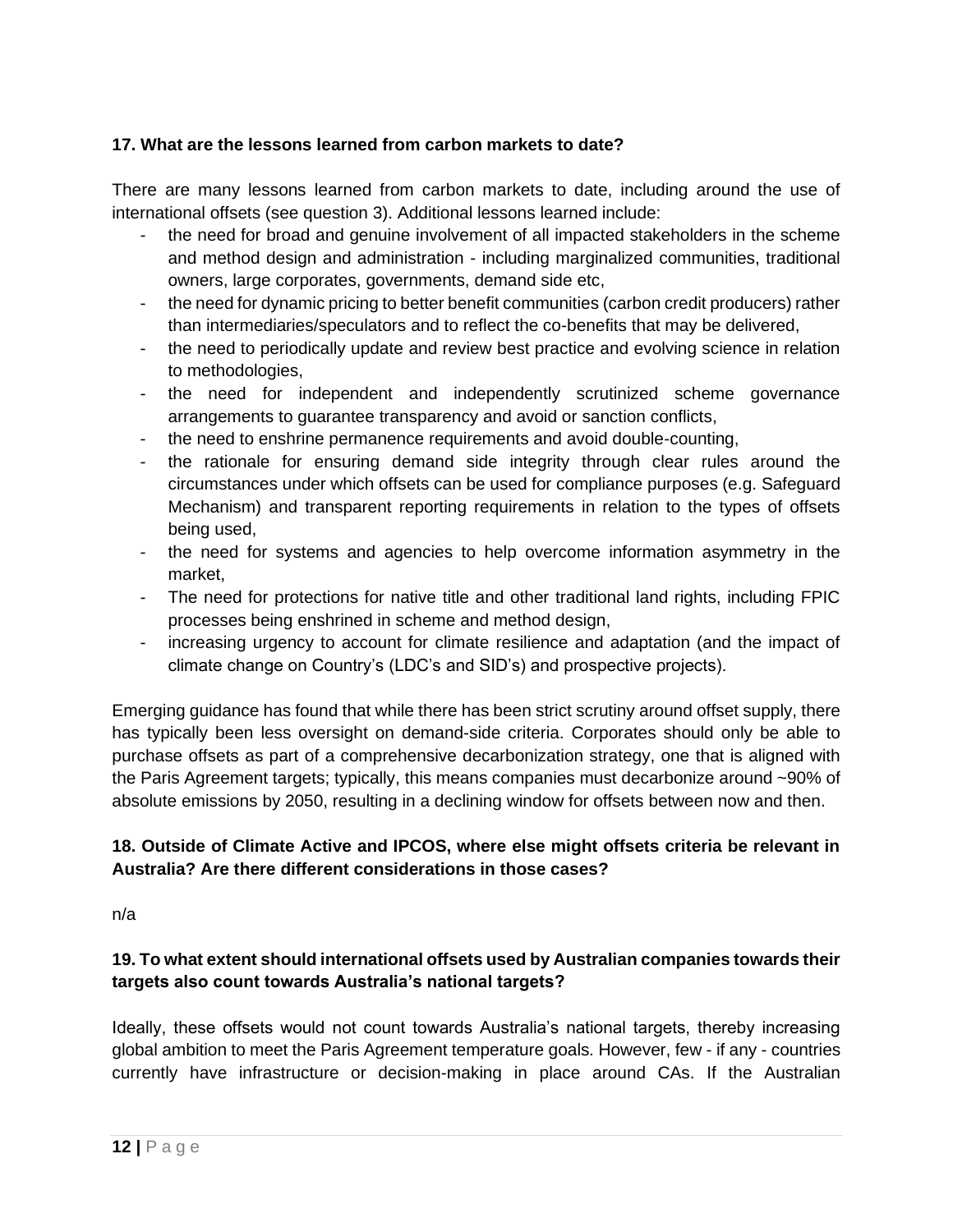### **17. What are the lessons learned from carbon markets to date?**

There are many lessons learned from carbon markets to date, including around the use of international offsets (see question 3). Additional lessons learned include:

- the need for broad and genuine involvement of all impacted stakeholders in the scheme and method design and administration - including marginalized communities, traditional owners, large corporates, governments, demand side etc,
- the need for dynamic pricing to better benefit communities (carbon credit producers) rather than intermediaries/speculators and to reflect the co-benefits that may be delivered,
- the need to periodically update and review best practice and evolving science in relation to methodologies,
- the need for independent and independently scrutinized scheme governance arrangements to guarantee transparency and avoid or sanction conflicts,
- the need to enshrine permanence requirements and avoid double-counting,
- the rationale for ensuring demand side integrity through clear rules around the circumstances under which offsets can be used for compliance purposes (e.g. Safeguard Mechanism) and transparent reporting requirements in relation to the types of offsets being used,
- the need for systems and agencies to help overcome information asymmetry in the market,
- The need for protections for native title and other traditional land rights, including FPIC processes being enshrined in scheme and method design,
- increasing urgency to account for climate resilience and adaptation (and the impact of climate change on Country's (LDC's and SID's) and prospective projects).

Emerging guidance has found that while there has been strict scrutiny around offset supply, there has typically been less oversight on demand-side criteria. Corporates should only be able to purchase offsets as part of a comprehensive decarbonization strategy, one that is aligned with the Paris Agreement targets; typically, this means companies must decarbonize around ~90% of absolute emissions by 2050, resulting in a declining window for offsets between now and then.

# **18. Outside of Climate Active and IPCOS, where else might offsets criteria be relevant in Australia? Are there different considerations in those cases?**

n/a

# **19. To what extent should international offsets used by Australian companies towards their targets also count towards Australia's national targets?**

Ideally, these offsets would not count towards Australia's national targets, thereby increasing global ambition to meet the Paris Agreement temperature goals. However, few - if any - countries currently have infrastructure or decision-making in place around CAs. If the Australian